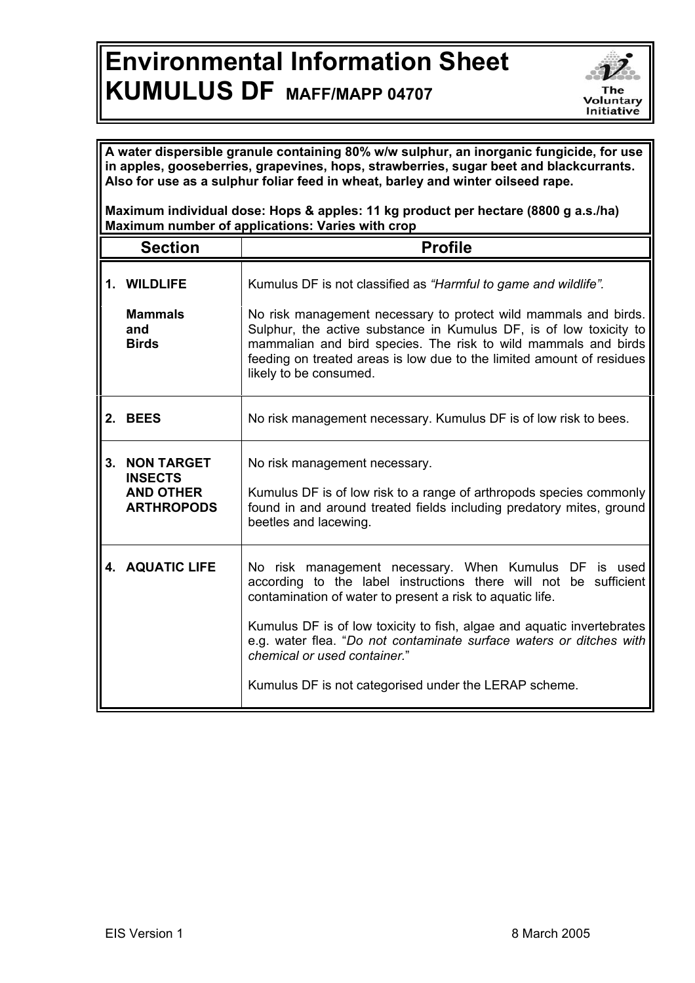## **Environmental Information Sheet KUMULUS DF MAFF/MAPP 04707**



**A water dispersible granule containing 80% w/w sulphur, an inorganic fungicide, for use in apples, gooseberries, grapevines, hops, strawberries, sugar beet and blackcurrants. Also for use as a sulphur foliar feed in wheat, barley and winter oilseed rape.**

**Maximum individual dose: Hops & apples: 11 kg product per hectare (8800 g a.s./ha) Maximum number of applications: Varies with crop**

| <b>Section</b> |                                                                              | <b>Profile</b>                                                                                                                                                                                                                                                                                                                                                                                                                      |
|----------------|------------------------------------------------------------------------------|-------------------------------------------------------------------------------------------------------------------------------------------------------------------------------------------------------------------------------------------------------------------------------------------------------------------------------------------------------------------------------------------------------------------------------------|
|                | 1. WILDLIFE<br><b>Mammals</b><br>and<br><b>Birds</b>                         | Kumulus DF is not classified as "Harmful to game and wildlife".<br>No risk management necessary to protect wild mammals and birds.<br>Sulphur, the active substance in Kumulus DF, is of low toxicity to<br>mammalian and bird species. The risk to wild mammals and birds<br>feeding on treated areas is low due to the limited amount of residues<br>likely to be consumed.                                                       |
|                | 2. BEES                                                                      | No risk management necessary. Kumulus DF is of low risk to bees.                                                                                                                                                                                                                                                                                                                                                                    |
| 3.             | <b>NON TARGET</b><br><b>INSECTS</b><br><b>AND OTHER</b><br><b>ARTHROPODS</b> | No risk management necessary.<br>Kumulus DF is of low risk to a range of arthropods species commonly<br>found in and around treated fields including predatory mites, ground<br>beetles and lacewing.                                                                                                                                                                                                                               |
|                | <b>4. AQUATIC LIFE</b>                                                       | No risk management necessary. When Kumulus DF is used<br>according to the label instructions there will not<br>be sufficient<br>contamination of water to present a risk to aquatic life.<br>Kumulus DF is of low toxicity to fish, algae and aquatic invertebrates<br>e.g. water flea. "Do not contaminate surface waters or ditches with<br>chemical or used container."<br>Kumulus DF is not categorised under the LERAP scheme. |